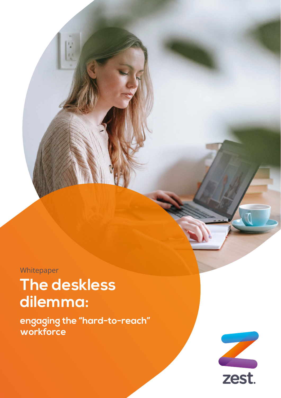**Whitepaper** 

# **The deskless dilemma:**

**engaging the "hard-to-reach" workforce**

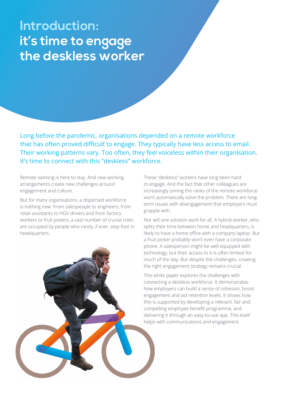# **Introduction: it's time to engage the deskless worker**

Long before the pandemic, organisations depended on a remote workforce that has often proved difficult to engage. They typically have less access to email. Their working patterns vary. Too often, they feel voiceless within their organisation. It's time to connect with this "deskless" workforce.

Remote working is here to stay. And new working arrangements create new challenges around engagement and culture.

But for many organisations, a dispersed workforce is nothing new. From salespeople to engineers, from retail assistants to HGV drivers and from factory workers to fruit pickers, a vast number of crucial roles are occupied by people who rarely, if ever, step foot in headquarters.

These "deskless" workers have long been hard to engage. And the fact that other colleagues are increasingly joining the ranks of the remote workforce won't automatically solve the problem. There are longterm issues with disengagement that employers must grapple with.

Nor will one solution work for all. A hybrid worker, who splits their time between home and headquarters, is likely to have a home office with a company laptop. But a fruit picker probably won't even have a corporate phone. A salesperson might be well equipped with technology, but their access to it is often limited for much of the day. But despite the challenges, creating the right engagement strategy remains crucial.

This white paper explores the challenges with connecting a deskless workforce. It demonstrates how employers can build a sense of cohesion, boost engagement and aid retention levels. It shows how this is supported by developing a relevant, fair and compelling employee benefit programme, and delivering it through an easy-to-use app. This itself helps with communications and engagement.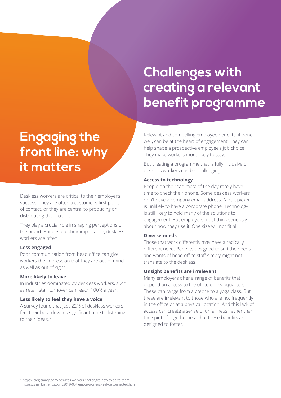# **Challenges with creating a relevant benefit programme**

# **Engaging the front line: why it matters**

Deskless workers are critical to their employer's success. They are often a customer's first point of contact, or they are central to producing or distributing the product.

They play a crucial role in shaping perceptions of the brand. But despite their importance, deskless workers are often:

#### **Less engaged**

Poor communication from head office can give workers the impression that they are out of mind, as well as out of sight.

#### **More likely to leave**

In industries dominated by deskless workers, such as retail, staff turnover can reach 100% a year. 1

### **Less likely to feel they have a voice**

A survey found that just 22% of deskless workers feel their boss devotes significant time to listening to their ideas. 2

Relevant and compelling employee benefits, if done well, can be at the heart of engagement. They can help shape a prospective employee's job choice. They make workers more likely to stay.

But creating a programme that is fully inclusive of deskless workers can be challenging.

#### **Access to technology**

People on the road most of the day rarely have time to check their phone. Some deskless workers don't have a company email address. A fruit picker is unlikely to have a corporate phone. Technology is still likely to hold many of the solutions to engagement. But employers must think seriously about how they use it. One size will not fit all.

#### **Diverse needs**

Those that work differently may have a radically different need. Benefits designed to suit the needs and wants of head office staff simply might not translate to the deskless.

#### **Onsight benefits are irrelevant**

Many employers offer a range of benefits that depend on access to the office or headquarters. These can range from a creche to a yoga class. But these are irrelevant to those who are not frequently in the office or at a physical location. And this lack of access can create a sense of unfairness, rather than the spirit of togetherness that these benefits are designed to foster.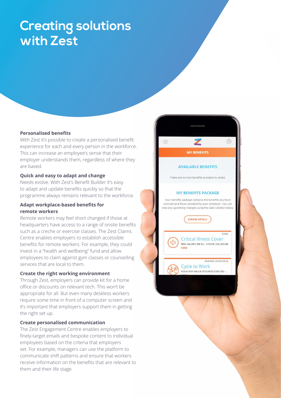# **Creating solutions with Zest**

### **Personalised benefits**

With Zest it's possible to create a personalised benefit experience for each and every person in the workforce. This can increase an employee's sense that their employer understands them, regardless of where they are based.

 $\circledR$ 

CORE

ENDING 30/09/2018

**MY BENEFITS** 

**AVAILABLE BENEFITS** 

There are no new benefits available to select.

**MY BENEFITS PACKAGE** Your benefits package contains the benefits you have selected and those provided by your employer. You can view any upcoming changes using the date selector below.

**EXPAND DETAILS** 

Cycle to Work VOUCHER VALUE (POUNDS £500.00) - ..

VIEW

**Critical Illness Cover** 90% SALARY (90 %) - COVER: £26,955.00

### **Quick and easy to adapt and change**

Needs evolve. With Zest's Benefit Builder it's easy to adapt and update benefits quickly so that the programme always remains relevant to the workforce.

### **Adapt workplace-based benefits for remote workers**

Remote workers may feel short changed if those at headquarters have access to a range of onsite benefits such as a creche or exercise classes. The Zest Claims Centre enables employers to establish accessible benefits for remote workers. For example, they could invest in a "health and wellbeing" fund and allow employees to claim against gym classes or counselling services that are local to them.

#### **Create the right working environment**

Through Zest, employers can provide kit for a home office or discounts on relevant tech. This won't be appropriate for all. But even many deskless workers require some time in front of a computer screen and it's important that employers support them in getting the right set up.

### **Create personalised communication**

The Zest Engagement Centre enables employers to finely-target emails and bespoke content to individual employees based on the criteria that employers set. For example, managers can use the platform to communicate shift patterns and ensure that workers receive information on the benefits that are relevant to them and their life stage.